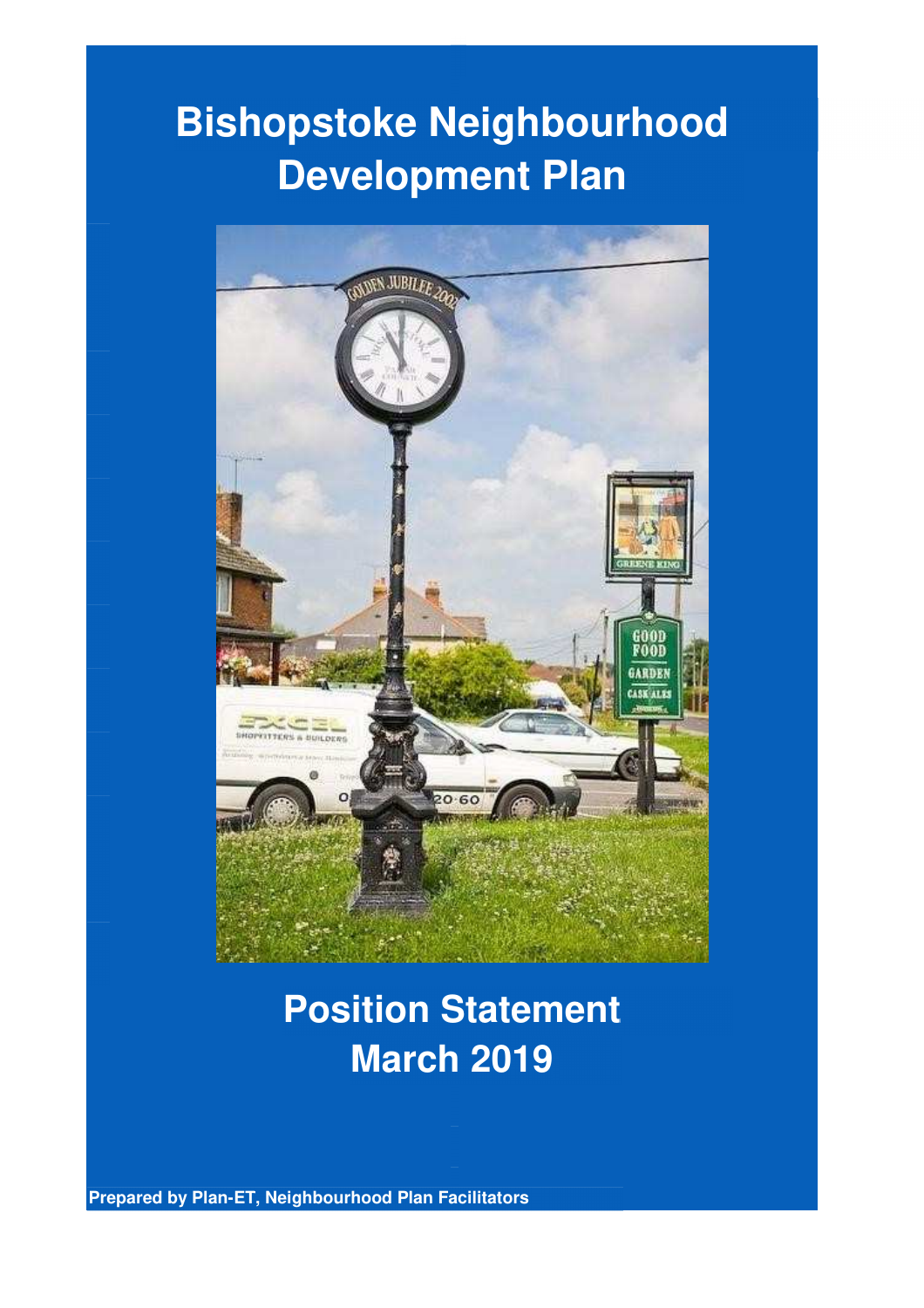# **Bishopstoke Neighbourhood Development Plan**



## **Position Statement March 2019**

**Prepared by Plan-ET, Neighbourhood Plan Facilitators**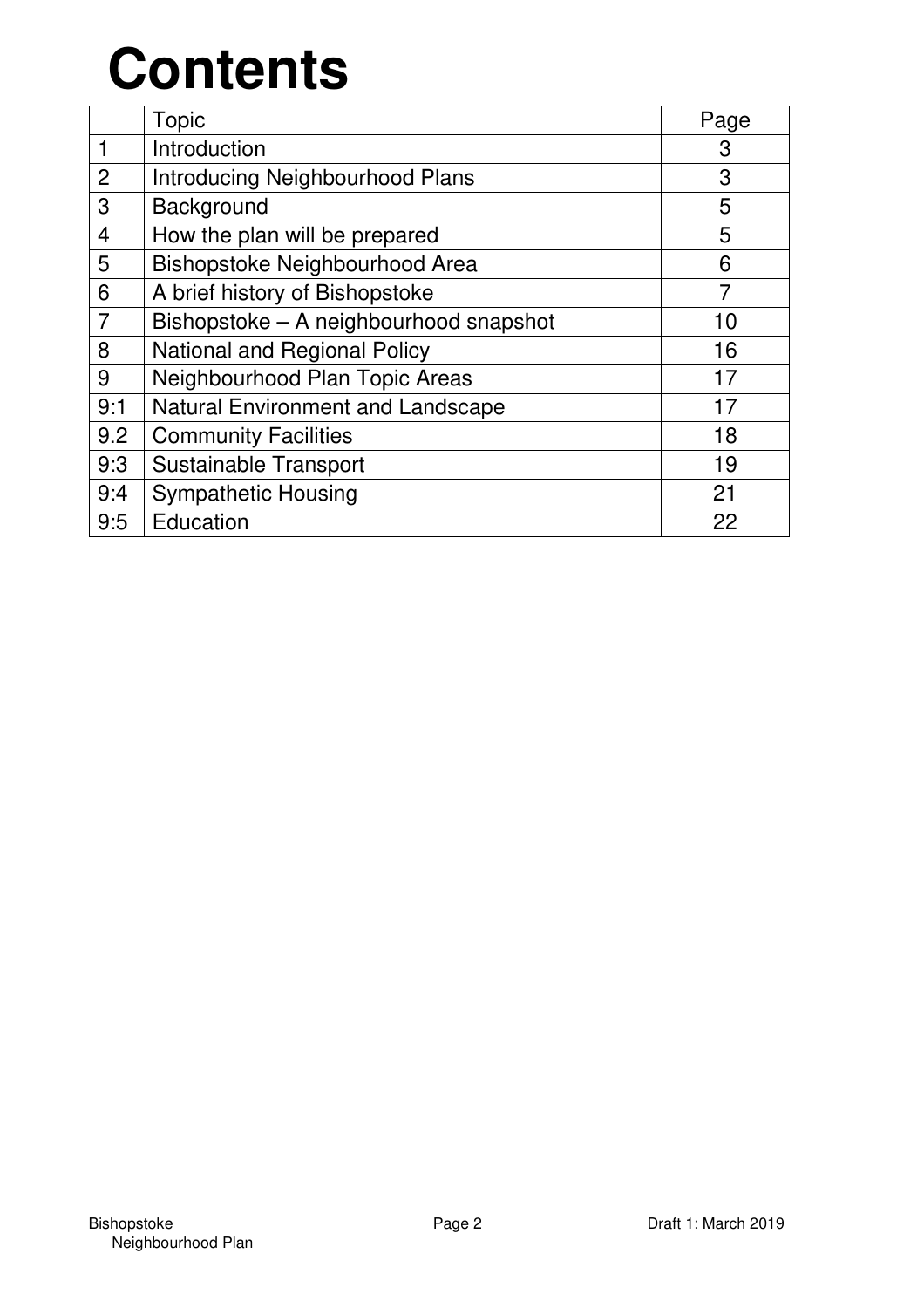# **Contents**

|                | Topic                                  | Page           |
|----------------|----------------------------------------|----------------|
|                | Introduction                           | 3              |
| $\overline{2}$ | <b>Introducing Neighbourhood Plans</b> | 3              |
| 3              | Background                             | 5              |
| 4              | How the plan will be prepared          | 5              |
| 5              | Bishopstoke Neighbourhood Area         | 6              |
| 6              | A brief history of Bishopstoke         | $\overline{7}$ |
|                | Bishopstoke - A neighbourhood snapshot | 10             |
| 8              | National and Regional Policy           | 16             |
| 9              | Neighbourhood Plan Topic Areas         | 17             |
| 9:1            | Natural Environment and Landscape      | 17             |
| 9.2            | <b>Community Facilities</b>            | 18             |
| 9:3            | Sustainable Transport                  | 19             |
| 9:4            | <b>Sympathetic Housing</b>             | 21             |
| 9:5            | Education                              | 22             |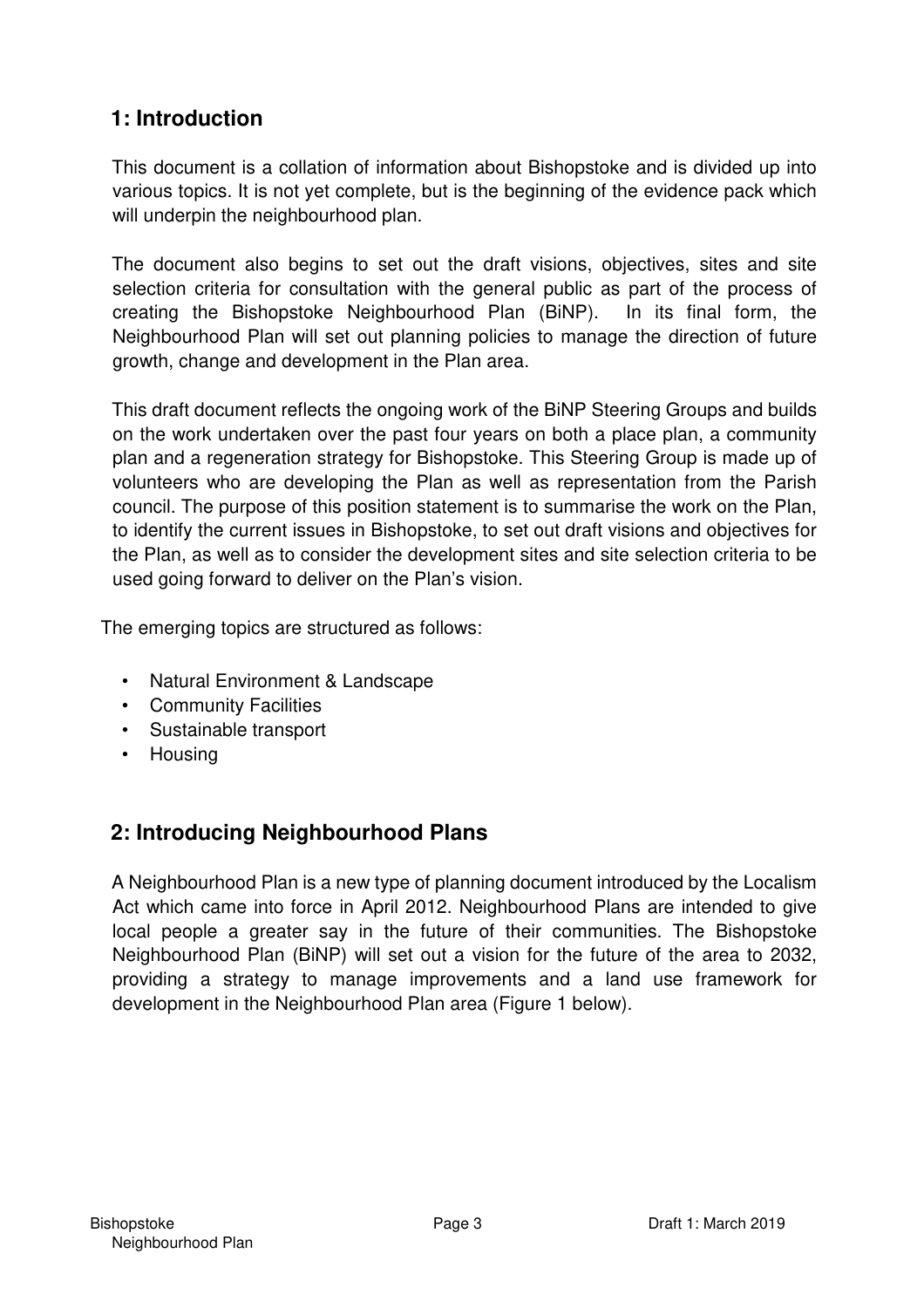## **1: Introduction**

This document is a collation of information about Bishopstoke and is divided up into various topics. It is not yet complete, but is the beginning of the evidence pack which will underpin the neighbourhood plan.

The document also begins to set out the draft visions, objectives, sites and site selection criteria for consultation with the general public as part of the process of creating the Bishopstoke Neighbourhood Plan (BiNP). In its final form, the Neighbourhood Plan will set out planning policies to manage the direction of future growth, change and development in the Plan area.

This draft document reflects the ongoing work of the BiNP Steering Groups and builds on the work undertaken over the past four years on both a place plan, a community plan and a regeneration strategy for Bishopstoke. This Steering Group is made up of volunteers who are developing the Plan as well as representation from the Parish council. The purpose of this position statement is to summarise the work on the Plan, to identify the current issues in Bishopstoke, to set out draft visions and objectives for the Plan, as well as to consider the development sites and site selection criteria to be used going forward to deliver on the Plan's vision.

The emerging topics are structured as follows:

- Natural Environment & Landscape
- Community Facilities
- Sustainable transport
- Housing

## **2: Introducing Neighbourhood Plans**

A Neighbourhood Plan is a new type of planning document introduced by the Localism Act which came into force in April 2012. Neighbourhood Plans are intended to give local people a greater say in the future of their communities. The Bishopstoke Neighbourhood Plan (BiNP) will set out a vision for the future of the area to 2032, providing a strategy to manage improvements and a land use framework for development in the Neighbourhood Plan area (Figure 1 below).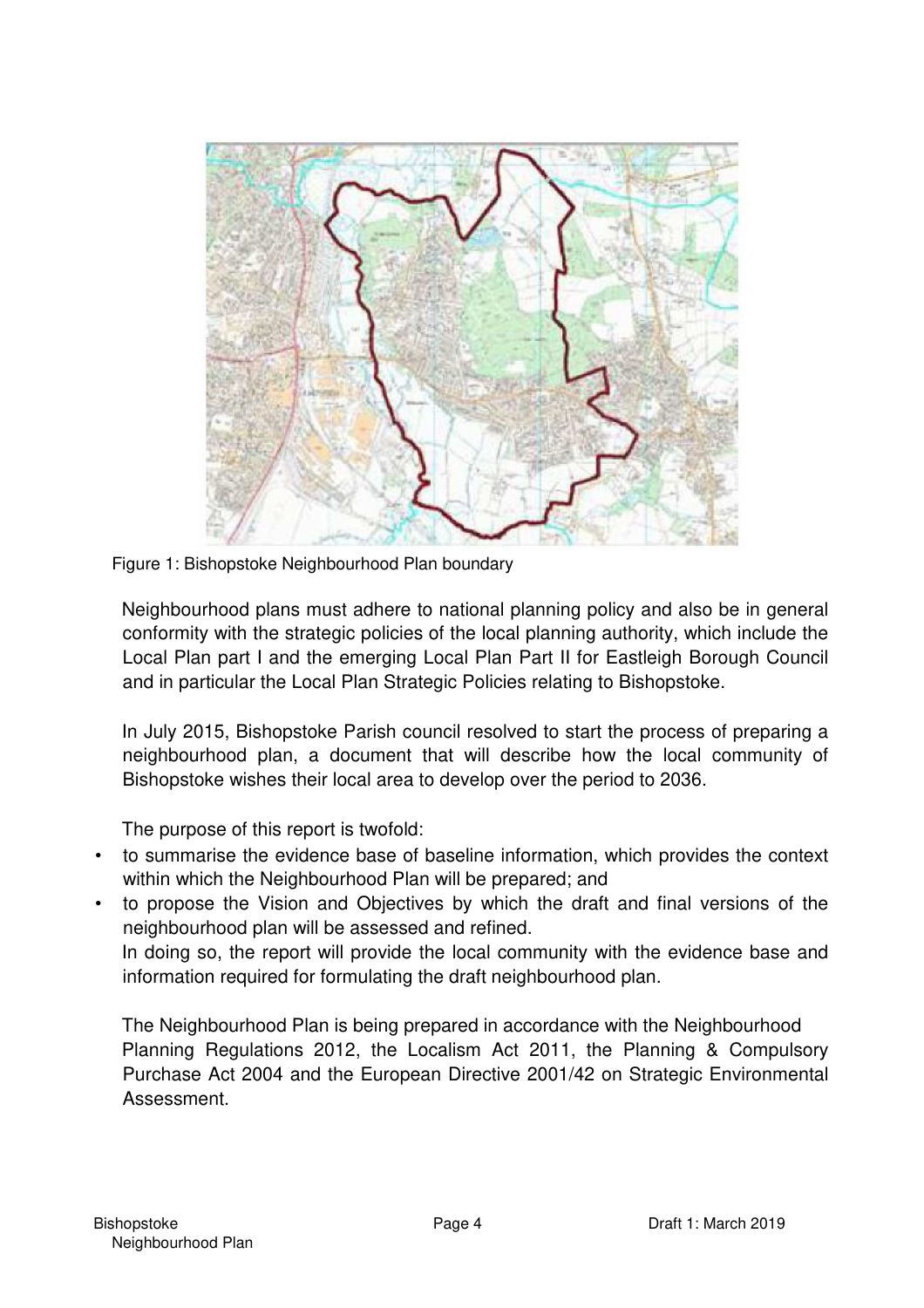

Figure 1: Bishopstoke Neighbourhood Plan boundary

Neighbourhood plans must adhere to national planning policy and also be in general conformity with the strategic policies of the local planning authority, which include the Local Plan part I and the emerging Local Plan Part II for Eastleigh Borough Council and in particular the Local Plan Strategic Policies relating to Bishopstoke.

In July 2015, Bishopstoke Parish council resolved to start the process of preparing a neighbourhood plan, a document that will describe how the local community of Bishopstoke wishes their local area to develop over the period to 2036.

The purpose of this report is twofold:

- to summarise the evidence base of baseline information, which provides the context within which the Neighbourhood Plan will be prepared; and
- to propose the Vision and Objectives by which the draft and final versions of the neighbourhood plan will be assessed and refined. In doing so, the report will provide the local community with the evidence base and information required for formulating the draft neighbourhood plan.

The Neighbourhood Plan is being prepared in accordance with the Neighbourhood Planning Regulations 2012, the Localism Act 2011, the Planning & Compulsory Purchase Act 2004 and the European Directive 2001/42 on Strategic Environmental Assessment.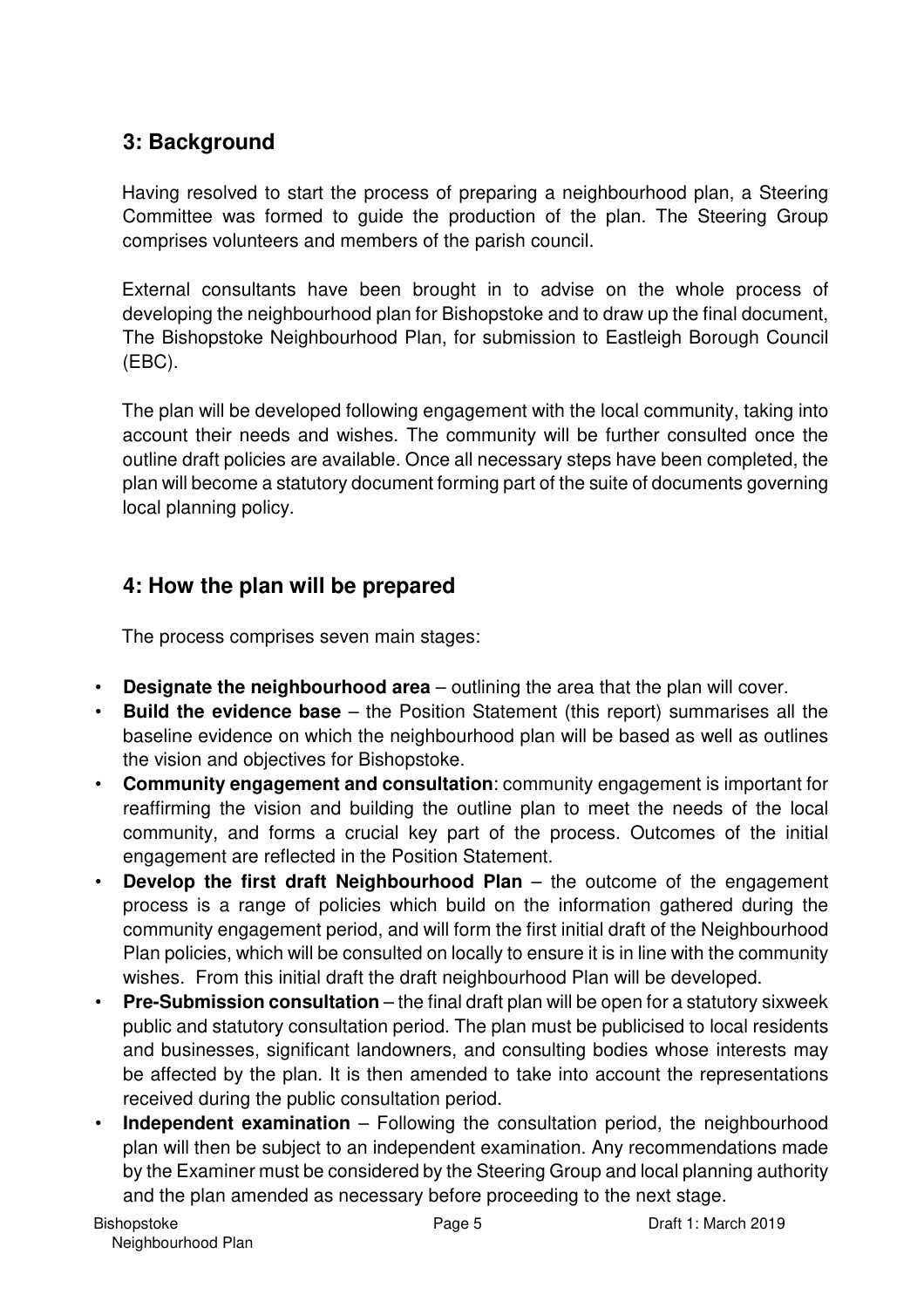## **3: Background**

Having resolved to start the process of preparing a neighbourhood plan, a Steering Committee was formed to guide the production of the plan. The Steering Group comprises volunteers and members of the parish council.

External consultants have been brought in to advise on the whole process of developing the neighbourhood plan for Bishopstoke and to draw up the final document, The Bishopstoke Neighbourhood Plan, for submission to Eastleigh Borough Council (EBC).

The plan will be developed following engagement with the local community, taking into account their needs and wishes. The community will be further consulted once the outline draft policies are available. Once all necessary steps have been completed, the plan will become a statutory document forming part of the suite of documents governing local planning policy.

## **4: How the plan will be prepared**

The process comprises seven main stages:

- **Designate the neighbourhood area** outlining the area that the plan will cover.
- **Build the evidence base**  the Position Statement (this report) summarises all the baseline evidence on which the neighbourhood plan will be based as well as outlines the vision and objectives for Bishopstoke.
- **Community engagement and consultation**: community engagement is important for reaffirming the vision and building the outline plan to meet the needs of the local community, and forms a crucial key part of the process. Outcomes of the initial engagement are reflected in the Position Statement.
- **Develop the first draft Neighbourhood Plan**  the outcome of the engagement process is a range of policies which build on the information gathered during the community engagement period, and will form the first initial draft of the Neighbourhood Plan policies, which will be consulted on locally to ensure it is in line with the community wishes. From this initial draft the draft neighbourhood Plan will be developed.
- **Pre-Submission consultation** the final draft plan will be open for a statutory sixweek public and statutory consultation period. The plan must be publicised to local residents and businesses, significant landowners, and consulting bodies whose interests may be affected by the plan. It is then amended to take into account the representations received during the public consultation period.
- **Independent examination** Following the consultation period, the neighbourhood plan will then be subject to an independent examination. Any recommendations made by the Examiner must be considered by the Steering Group and local planning authority and the plan amended as necessary before proceeding to the next stage.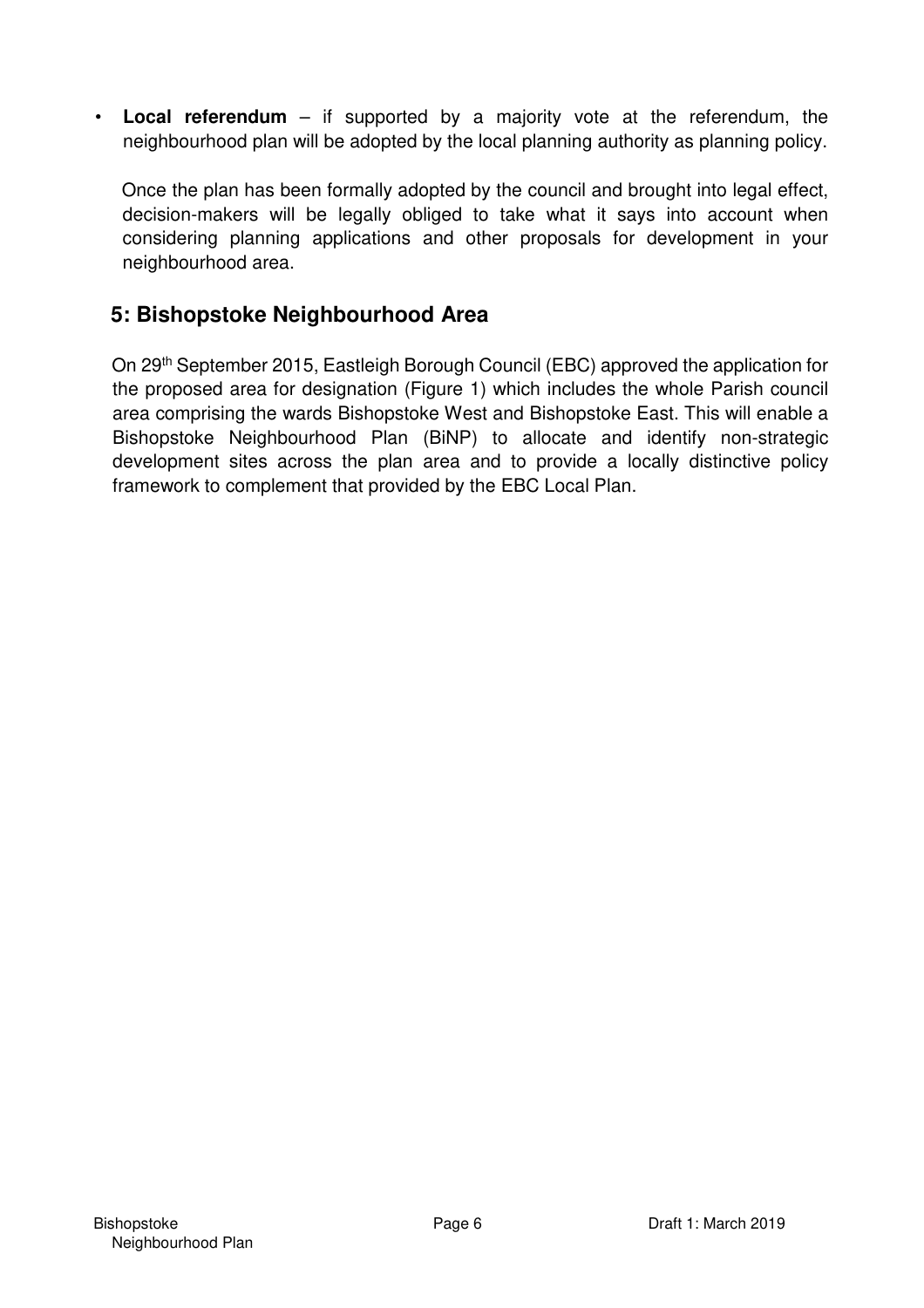• **Local referendum** – if supported by a majority vote at the referendum, the neighbourhood plan will be adopted by the local planning authority as planning policy.

Once the plan has been formally adopted by the council and brought into legal effect, decision-makers will be legally obliged to take what it says into account when considering planning applications and other proposals for development in your neighbourhood area.

## **5: Bishopstoke Neighbourhood Area**

On 29th September 2015, Eastleigh Borough Council (EBC) approved the application for the proposed area for designation (Figure 1) which includes the whole Parish council area comprising the wards Bishopstoke West and Bishopstoke East. This will enable a Bishopstoke Neighbourhood Plan (BiNP) to allocate and identify non-strategic development sites across the plan area and to provide a locally distinctive policy framework to complement that provided by the EBC Local Plan.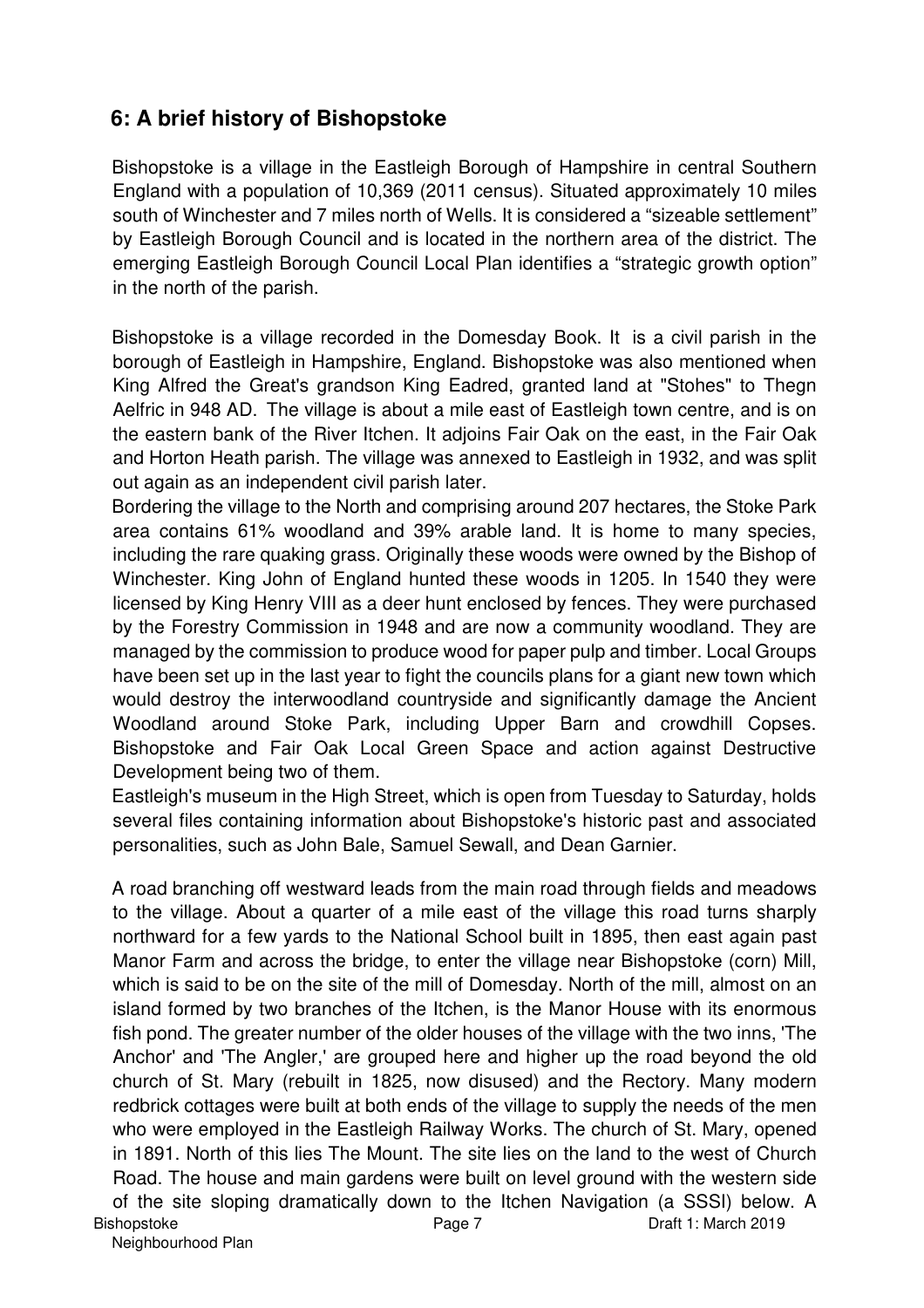## **6: A brief history of Bishopstoke**

Bishopstoke is a village in the Eastleigh Borough of Hampshire in central Southern England with a population of 10,369 (2011 census). Situated approximately 10 miles south of Winchester and 7 miles north of Wells. It is considered a "sizeable settlement" by Eastleigh Borough Council and is located in the northern area of the district. The emerging Eastleigh Borough Council Local Plan identifies a "strategic growth option" in the north of the parish.

Bishopstoke is a village recorded in the Domesday Book. It is a civil parish in the borough of Eastleigh in Hampshire, England. Bishopstoke was also mentioned when King Alfred the Great's grandson King Eadred, granted land at "Stohes" to Thegn Aelfric in 948 AD. The village is about a mile east of Eastleigh town centre, and is on the eastern bank of the River Itchen. It adjoins Fair Oak on the east, in the Fair Oak and Horton Heath parish. The village was annexed to Eastleigh in 1932, and was split out again as an independent civil parish later.

Bordering the village to the North and comprising around 207 hectares, the Stoke Park area contains 61% woodland and 39% arable land. It is home to many species, including the rare quaking grass. Originally these woods were owned by the Bishop of Winchester. King John of England hunted these woods in 1205. In 1540 they were licensed by King Henry VIII as a deer hunt enclosed by fences. They were purchased by the Forestry Commission in 1948 and are now a community woodland. They are managed by the commission to produce wood for paper pulp and timber. Local Groups have been set up in the last year to fight the councils plans for a giant new town which would destroy the interwoodland countryside and significantly damage the Ancient Woodland around Stoke Park, including Upper Barn and crowdhill Copses. Bishopstoke and Fair Oak Local Green Space and action against Destructive Development being two of them.

Eastleigh's museum in the High Street, which is open from Tuesday to Saturday, holds several files containing information about Bishopstoke's historic past and associated personalities, such as John Bale, Samuel Sewall, and Dean Garnier.

Bishopstoke Page 7 Draft 1: March 2019 A road branching off westward leads from the main road through fields and meadows to the village. About a quarter of a mile east of the village this road turns sharply northward for a few yards to the National School built in 1895, then east again past Manor Farm and across the bridge, to enter the village near Bishopstoke (corn) Mill, which is said to be on the site of the mill of Domesday. North of the mill, almost on an island formed by two branches of the Itchen, is the Manor House with its enormous fish pond. The greater number of the older houses of the village with the two inns, 'The Anchor' and 'The Angler,' are grouped here and higher up the road beyond the old church of St. Mary (rebuilt in 1825, now disused) and the Rectory. Many modern redbrick cottages were built at both ends of the village to supply the needs of the men who were employed in the Eastleigh Railway Works. The church of St. Mary, opened in 1891. North of this lies The Mount. The site lies on the land to the west of Church Road. The house and main gardens were built on level ground with the western side of the site sloping dramatically down to the Itchen Navigation (a SSSI) below. A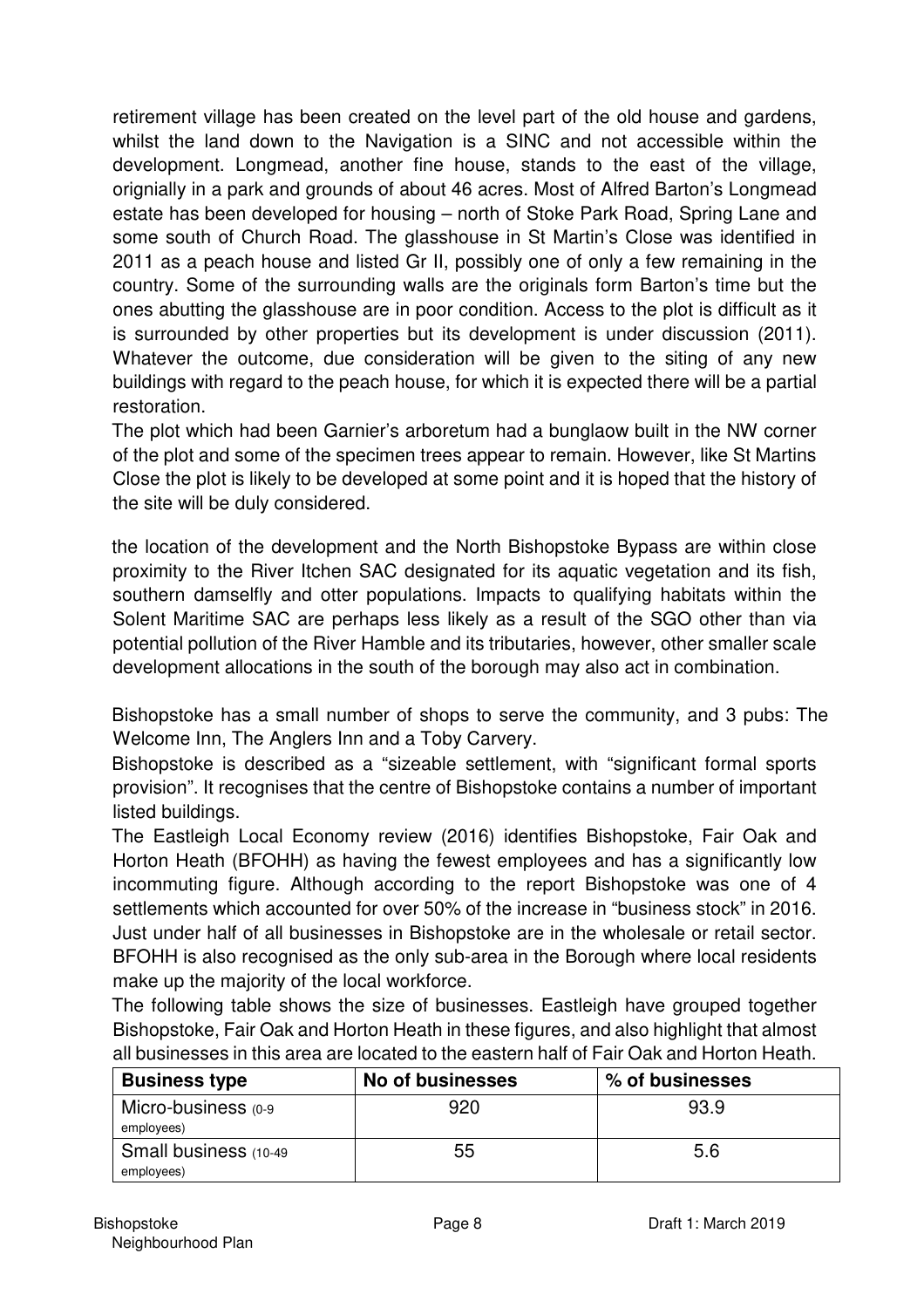retirement village has been created on the level part of the old house and gardens, whilst the land down to the Navigation is a SINC and not accessible within the development. Longmead, another fine house, stands to the east of the village, orignially in a park and grounds of about 46 acres. Most of Alfred Barton's Longmead estate has been developed for housing – north of Stoke Park Road, Spring Lane and some south of Church Road. The glasshouse in St Martin's Close was identified in 2011 as a peach house and listed Gr II, possibly one of only a few remaining in the country. Some of the surrounding walls are the originals form Barton's time but the ones abutting the glasshouse are in poor condition. Access to the plot is difficult as it is surrounded by other properties but its development is under discussion (2011). Whatever the outcome, due consideration will be given to the siting of any new buildings with regard to the peach house, for which it is expected there will be a partial restoration.

The plot which had been Garnier's arboretum had a bunglaow built in the NW corner of the plot and some of the specimen trees appear to remain. However, like St Martins Close the plot is likely to be developed at some point and it is hoped that the history of the site will be duly considered.

the location of the development and the North Bishopstoke Bypass are within close proximity to the River Itchen SAC designated for its aquatic vegetation and its fish, southern damselfly and otter populations. Impacts to qualifying habitats within the Solent Maritime SAC are perhaps less likely as a result of the SGO other than via potential pollution of the River Hamble and its tributaries, however, other smaller scale development allocations in the south of the borough may also act in combination.

Bishopstoke has a small number of shops to serve the community, and 3 pubs: The Welcome Inn, The Anglers Inn and a Toby Carvery.

Bishopstoke is described as a "sizeable settlement, with "significant formal sports provision". It recognises that the centre of Bishopstoke contains a number of important listed buildings.

The Eastleigh Local Economy review (2016) identifies Bishopstoke, Fair Oak and Horton Heath (BFOHH) as having the fewest employees and has a significantly low incommuting figure. Although according to the report Bishopstoke was one of 4 settlements which accounted for over 50% of the increase in "business stock" in 2016. Just under half of all businesses in Bishopstoke are in the wholesale or retail sector. BFOHH is also recognised as the only sub-area in the Borough where local residents make up the majority of the local workforce.

The following table shows the size of businesses. Eastleigh have grouped together Bishopstoke, Fair Oak and Horton Heath in these figures, and also highlight that almost all businesses in this area are located to the eastern half of Fair Oak and Horton Heath.

| <b>Business type</b>                 | No of businesses | % of businesses |
|--------------------------------------|------------------|-----------------|
| Micro-business $(0-9)$<br>employees) | 920              | 93.9            |
| Small business (10-49)<br>employees) | 55               | 5.6             |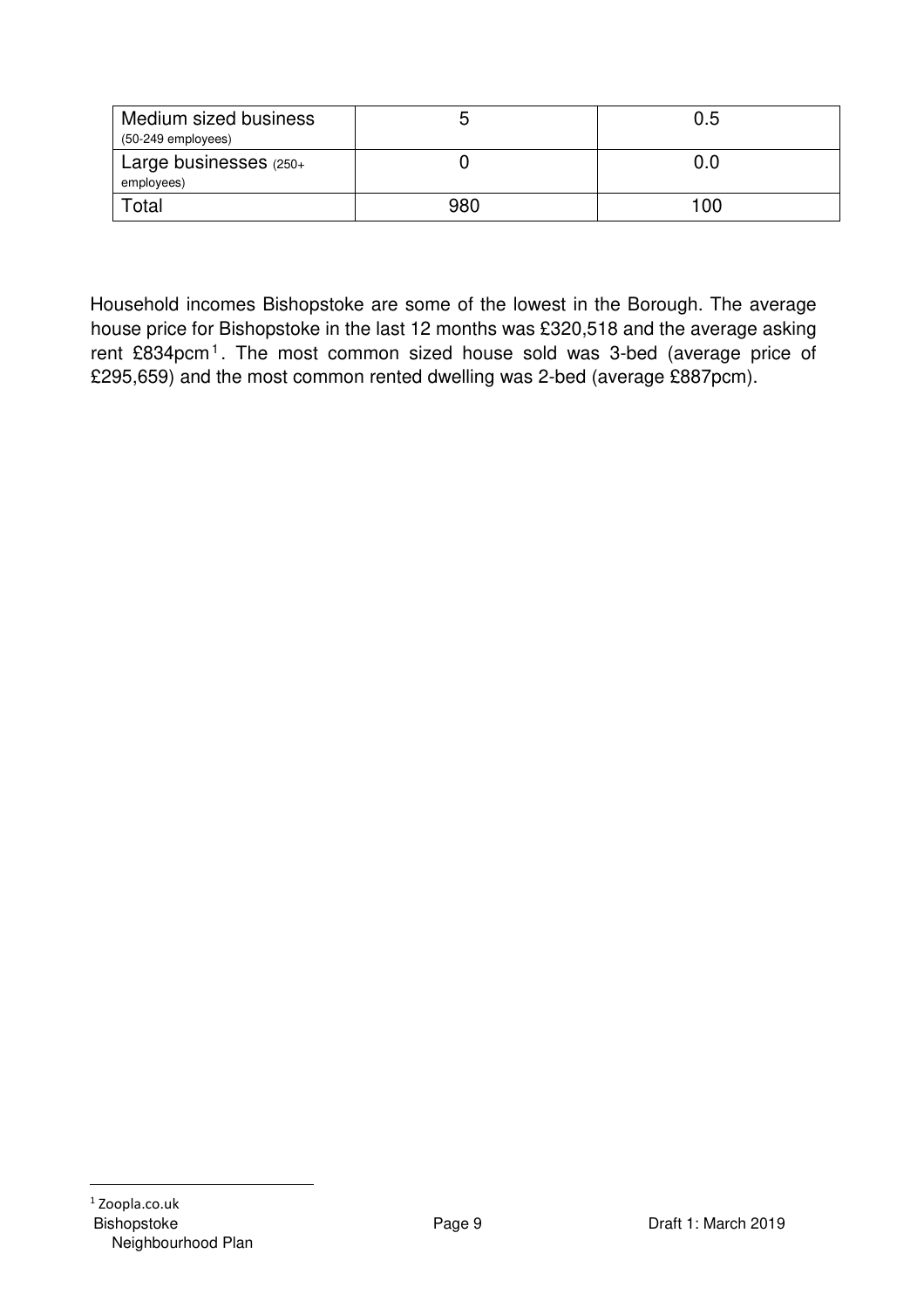| Medium sized business<br>$(50-249$ employees) |     | 0.5 |
|-----------------------------------------------|-----|-----|
| Large businesses (250+<br>employees)          |     | 0.0 |
| ⊺otal                                         | 980 | 100 |

Household incomes Bishopstoke are some of the lowest in the Borough. The average house price for Bishopstoke in the last 12 months was £320,518 and the average asking rent £834pcm<sup>1</sup>. The most common sized house sold was 3-bed (average price of £295,659) and the most common rented dwelling was 2-bed (average £887pcm).

 $\overline{a}$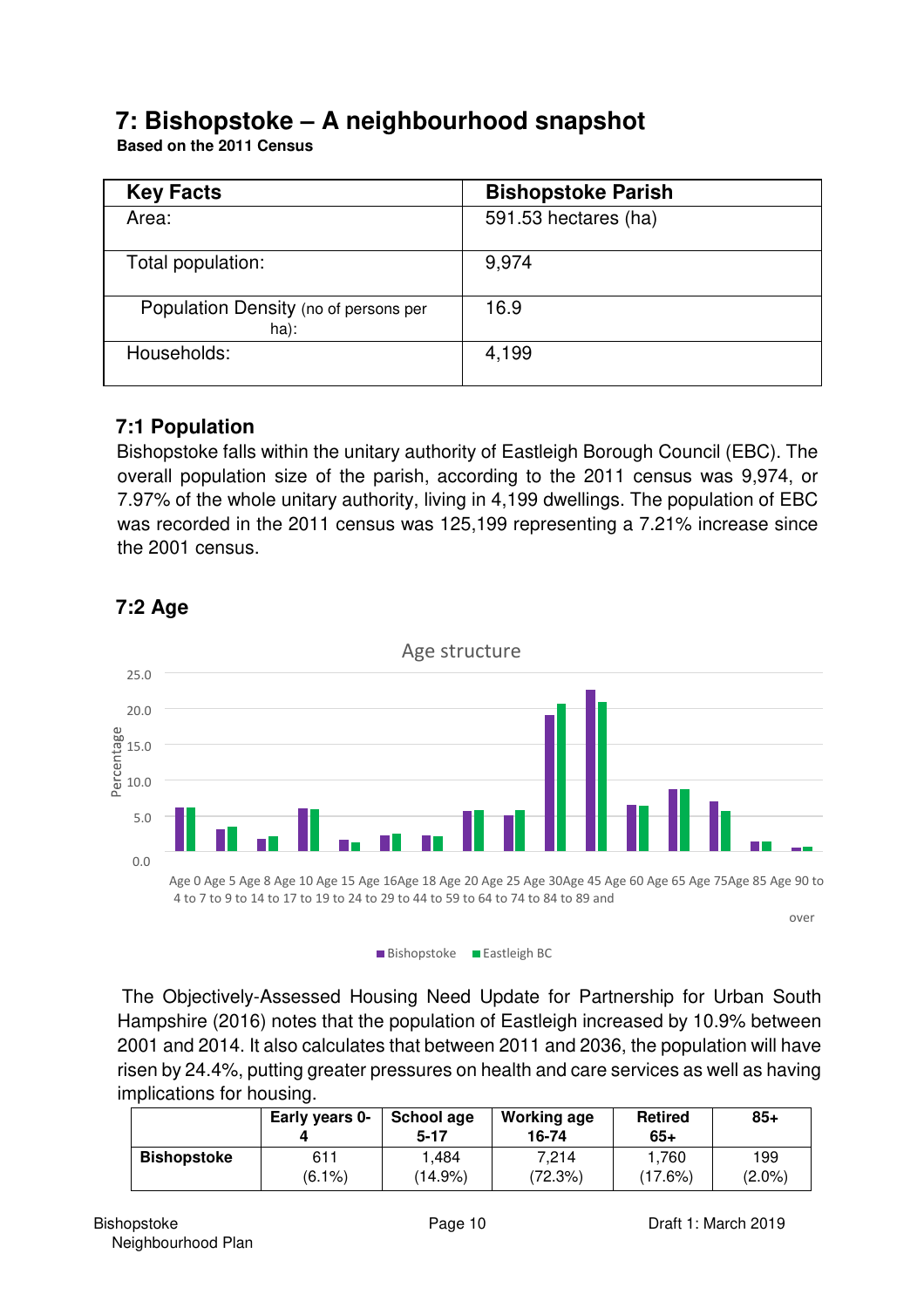## **7: Bishopstoke – A neighbourhood snapshot**

**Based on the 2011 Census**

| <b>Key Facts</b>                              | <b>Bishopstoke Parish</b> |
|-----------------------------------------------|---------------------------|
| Area:                                         | 591.53 hectares (ha)      |
| Total population:                             | 9.974                     |
| Population Density (no of persons per<br>ha): | 16.9                      |
| Households:                                   | 4,199                     |

## **7:1 Population**

Bishopstoke falls within the unitary authority of Eastleigh Borough Council (EBC). The overall population size of the parish, according to the 2011 census was 9,974, or 7.97% of the whole unitary authority, living in 4,199 dwellings. The population of EBC was recorded in the 2011 census was 125,199 representing a 7.21% increase since the 2001 census.



## **7:2 Age**

 The Objectively-Assessed Housing Need Update for Partnership for Urban South Hampshire (2016) notes that the population of Eastleigh increased by 10.9% between 2001 and 2014. It also calculates that between 2011 and 2036, the population will have risen by 24.4%, putting greater pressures on health and care services as well as having implications for housing.

|                    | Early years 0- | School age<br>5-17 | <b>Working age</b><br>16-74 | <b>Retired</b><br>65+ | $85+$     |
|--------------------|----------------|--------------------|-----------------------------|-----------------------|-----------|
| <b>Bishopstoke</b> | 611            | .484               | 7.214                       | 1,760                 | 199       |
|                    | $(6.1\%)$      | (14.9%)            | (72.3%)                     | (17.6%)               | $(2.0\%)$ |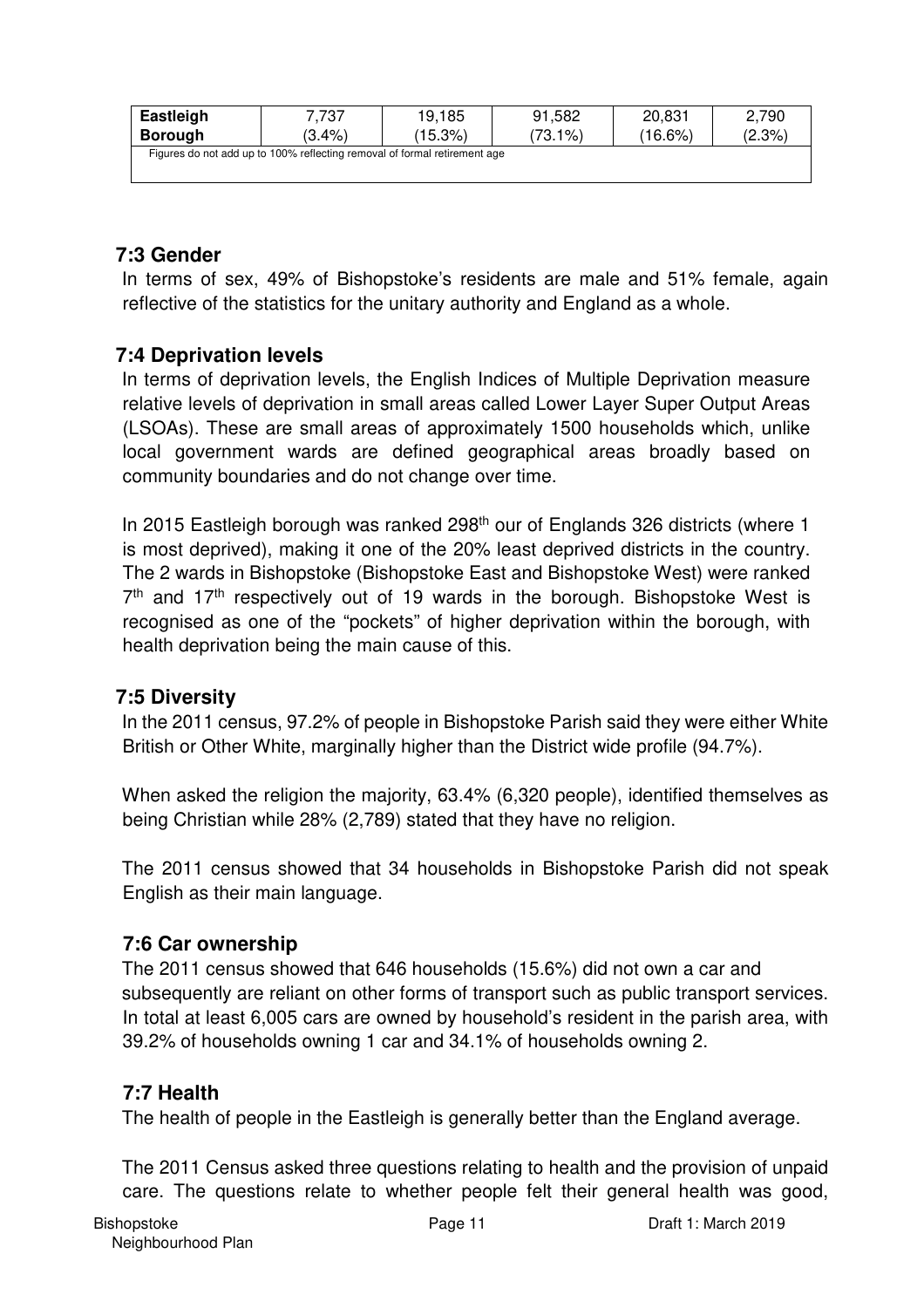| Eastleigh                                                                 | 7.737     | 19.185     | 91.582     | 20.831     | 2.790     |  |
|---------------------------------------------------------------------------|-----------|------------|------------|------------|-----------|--|
| <b>Borough</b>                                                            | $(3.4\%)$ | $(15.3\%)$ | $(73.1\%)$ | $(16.6\%)$ | $(2.3\%)$ |  |
| Figures do not add up to 100% reflecting removal of formal retirement age |           |            |            |            |           |  |
|                                                                           |           |            |            |            |           |  |

## **7:3 Gender**

In terms of sex, 49% of Bishopstoke's residents are male and 51% female, again reflective of the statistics for the unitary authority and England as a whole.

## **7:4 Deprivation levels**

In terms of deprivation levels, the English Indices of Multiple Deprivation measure relative levels of deprivation in small areas called Lower Layer Super Output Areas (LSOAs). These are small areas of approximately 1500 households which, unlike local government wards are defined geographical areas broadly based on community boundaries and do not change over time.

In 2015 Eastleigh borough was ranked 298<sup>th</sup> our of Englands 326 districts (where 1 is most deprived), making it one of the 20% least deprived districts in the country. The 2 wards in Bishopstoke (Bishopstoke East and Bishopstoke West) were ranked  $7<sup>th</sup>$  and 17<sup>th</sup> respectively out of 19 wards in the borough. Bishopstoke West is recognised as one of the "pockets" of higher deprivation within the borough, with health deprivation being the main cause of this.

#### **7:5 Diversity**

In the 2011 census, 97.2% of people in Bishopstoke Parish said they were either White British or Other White, marginally higher than the District wide profile (94.7%).

When asked the religion the majority, 63.4% (6,320 people), identified themselves as being Christian while 28% (2,789) stated that they have no religion.

The 2011 census showed that 34 households in Bishopstoke Parish did not speak English as their main language.

## **7:6 Car ownership**

The 2011 census showed that 646 households (15.6%) did not own a car and subsequently are reliant on other forms of transport such as public transport services. In total at least 6,005 cars are owned by household's resident in the parish area, with 39.2% of households owning 1 car and 34.1% of households owning 2.

## **7:7 Health**

The health of people in the Eastleigh is generally better than the England average.

The 2011 Census asked three questions relating to health and the provision of unpaid care. The questions relate to whether people felt their general health was good,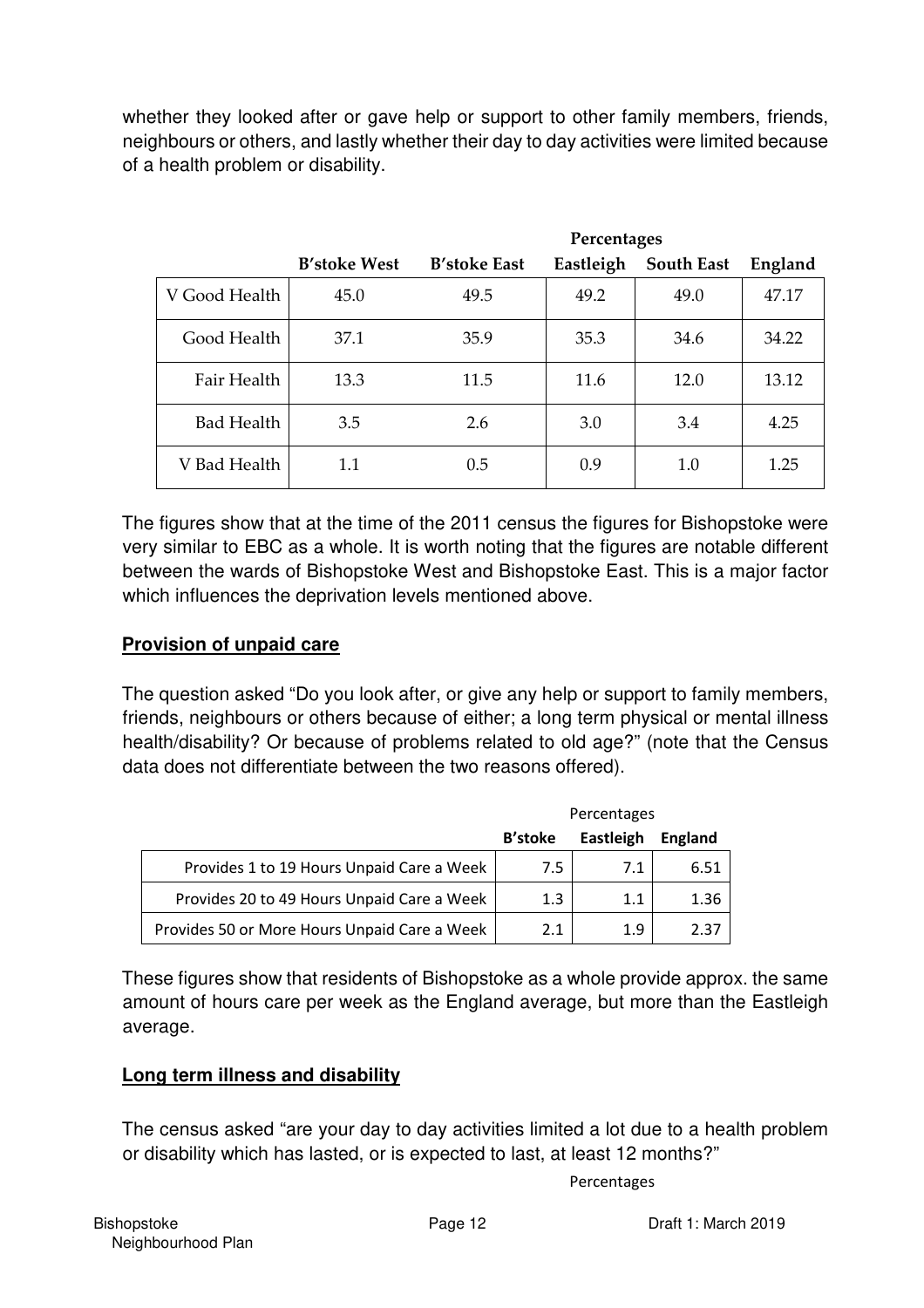whether they looked after or gave help or support to other family members, friends, neighbours or others, and lastly whether their day to day activities were limited because of a health problem or disability.

|                   |                     | Percentages         |           |                   |         |
|-------------------|---------------------|---------------------|-----------|-------------------|---------|
|                   | <b>B'stoke West</b> | <b>B'stoke East</b> | Eastleigh | <b>South East</b> | England |
| V Good Health     | 45.0                | 49.5                | 49.2      | 49.0              | 47.17   |
| Good Health       | 37.1                | 35.9                | 35.3      | 34.6              | 34.22   |
| Fair Health       | 13.3                | 11.5                | 11.6      | 12.0              | 13.12   |
| <b>Bad Health</b> | 3.5                 | 2.6                 | 3.0       | 3.4               | 4.25    |
| V Bad Health      | 1.1                 | 0.5                 | 0.9       | 1.0               | 1.25    |

The figures show that at the time of the 2011 census the figures for Bishopstoke were very similar to EBC as a whole. It is worth noting that the figures are notable different between the wards of Bishopstoke West and Bishopstoke East. This is a major factor which influences the deprivation levels mentioned above.

## **Provision of unpaid care**

The question asked "Do you look after, or give any help or support to family members, friends, neighbours or others because of either; a long term physical or mental illness health/disability? Or because of problems related to old age?" (note that the Census data does not differentiate between the two reasons offered).

|                                              | Percentages    |           |         |
|----------------------------------------------|----------------|-----------|---------|
|                                              | <b>B'stoke</b> | Eastleigh | England |
| Provides 1 to 19 Hours Unpaid Care a Week    | 7.5            | 7.1       | 6.51    |
| Provides 20 to 49 Hours Unpaid Care a Week   | 1.3            | 1.1       | 1.36    |
| Provides 50 or More Hours Unpaid Care a Week | 2.1            | 1.9       | 2.37    |

These figures show that residents of Bishopstoke as a whole provide approx. the same amount of hours care per week as the England average, but more than the Eastleigh average.

#### **Long term illness and disability**

The census asked "are your day to day activities limited a lot due to a health problem or disability which has lasted, or is expected to last, at least 12 months?"

#### Percentages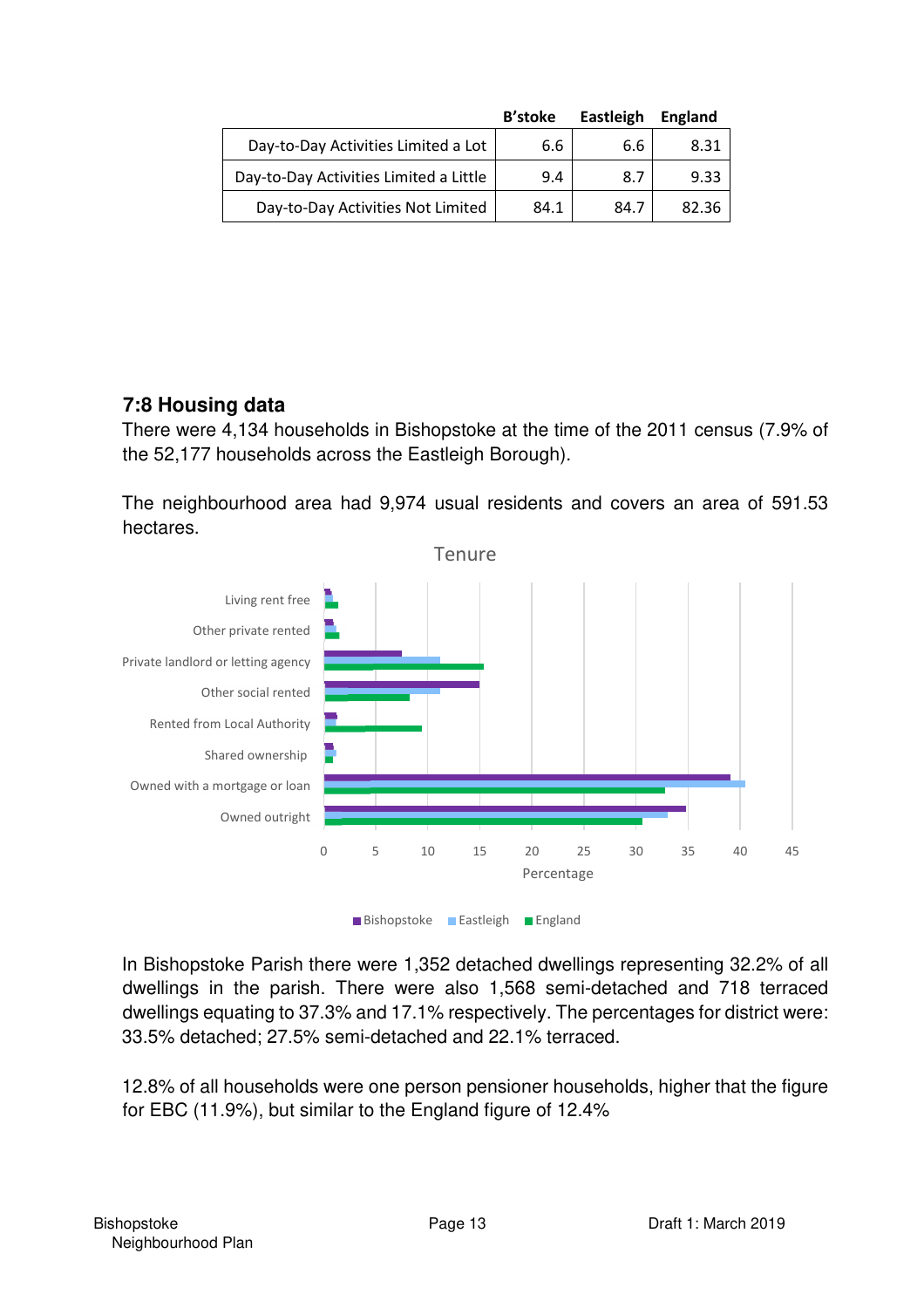|                                        | <b>B'stoke</b> | Eastleigh | England |
|----------------------------------------|----------------|-----------|---------|
| Day-to-Day Activities Limited a Lot    | 6.6            | 6.6       | 8.31    |
| Day-to-Day Activities Limited a Little | 9.4            | 8.7       | 9.33    |
| Day-to-Day Activities Not Limited      | 84.1           | 84.7      | 82.36   |

## **7:8 Housing data**

There were 4,134 households in Bishopstoke at the time of the 2011 census (7.9% of the 52,177 households across the Eastleigh Borough).

The neighbourhood area had 9,974 usual residents and covers an area of 591.53 hectares.



In Bishopstoke Parish there were 1,352 detached dwellings representing 32.2% of all dwellings in the parish. There were also 1,568 semi-detached and 718 terraced dwellings equating to 37.3% and 17.1% respectively. The percentages for district were: 33.5% detached; 27.5% semi-detached and 22.1% terraced.

12.8% of all households were one person pensioner households, higher that the figure for EBC (11.9%), but similar to the England figure of 12.4%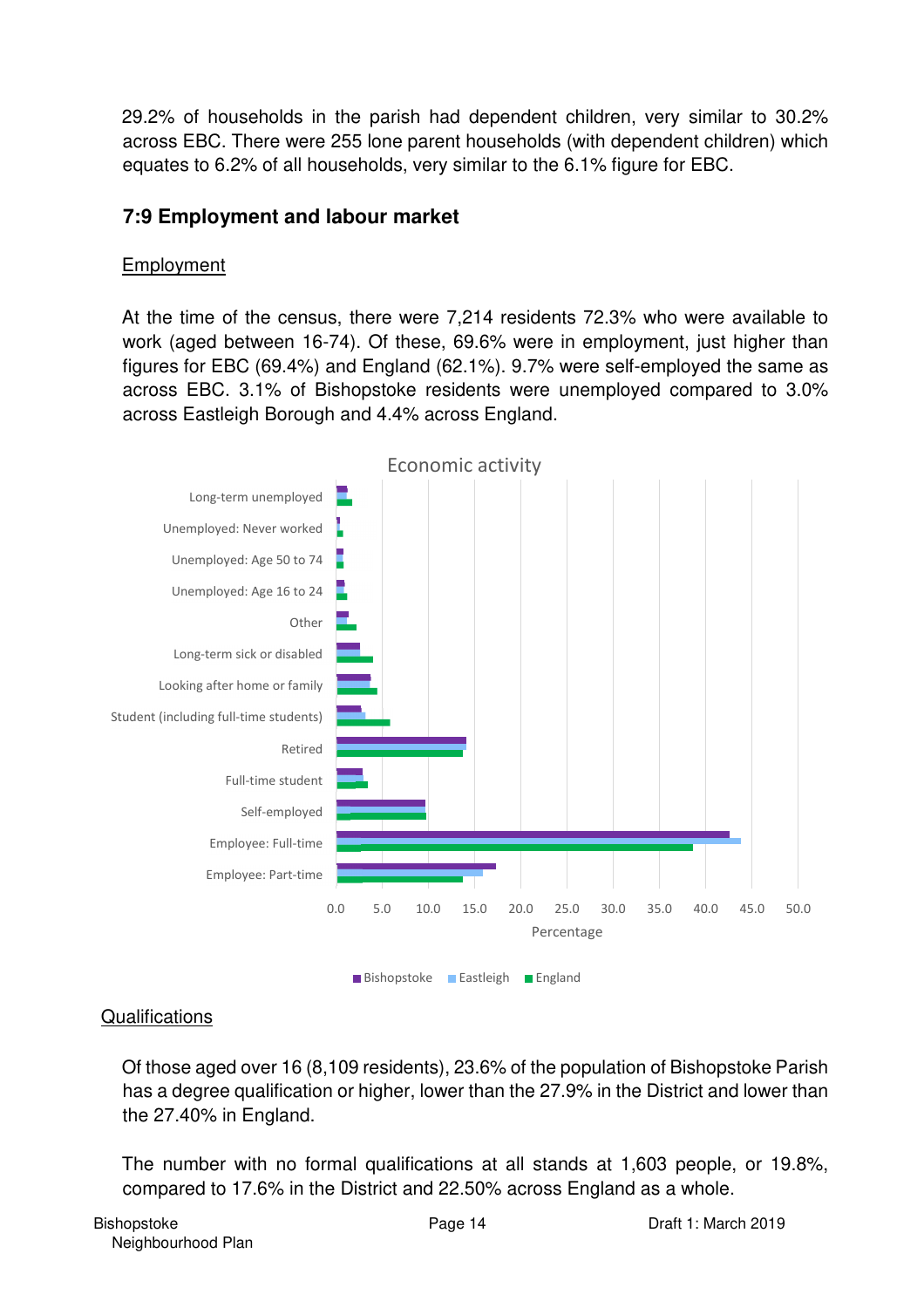29.2% of households in the parish had dependent children, very similar to 30.2% across EBC. There were 255 lone parent households (with dependent children) which equates to 6.2% of all households, very similar to the 6.1% figure for EBC.

## **7:9 Employment and labour market**

## Employment

At the time of the census, there were 7,214 residents 72.3% who were available to work (aged between 16-74). Of these, 69.6% were in employment, just higher than figures for EBC (69.4%) and England (62.1%). 9.7% were self-employed the same as across EBC. 3.1% of Bishopstoke residents were unemployed compared to 3.0% across Eastleigh Borough and 4.4% across England.



Bishopstoke **Eastleigh** England

## **Qualifications**

Of those aged over 16 (8,109 residents), 23.6% of the population of Bishopstoke Parish has a degree qualification or higher, lower than the 27.9% in the District and lower than the 27.40% in England.

The number with no formal qualifications at all stands at 1,603 people, or 19.8%, compared to 17.6% in the District and 22.50% across England as a whole.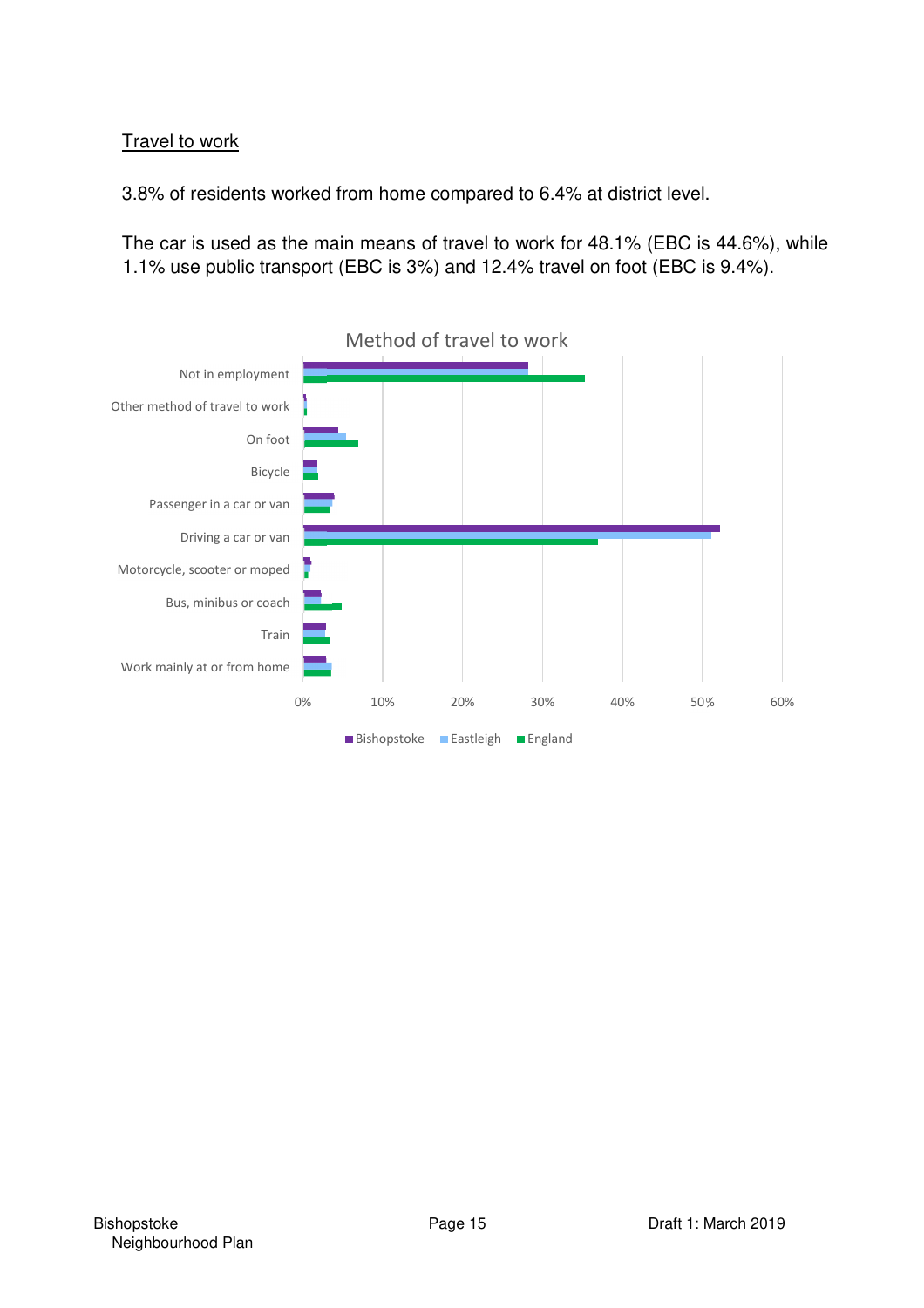## Travel to work

3.8% of residents worked from home compared to 6.4% at district level.

The car is used as the main means of travel to work for 48.1% (EBC is 44.6%), while 1.1% use public transport (EBC is 3%) and 12.4% travel on foot (EBC is 9.4%).

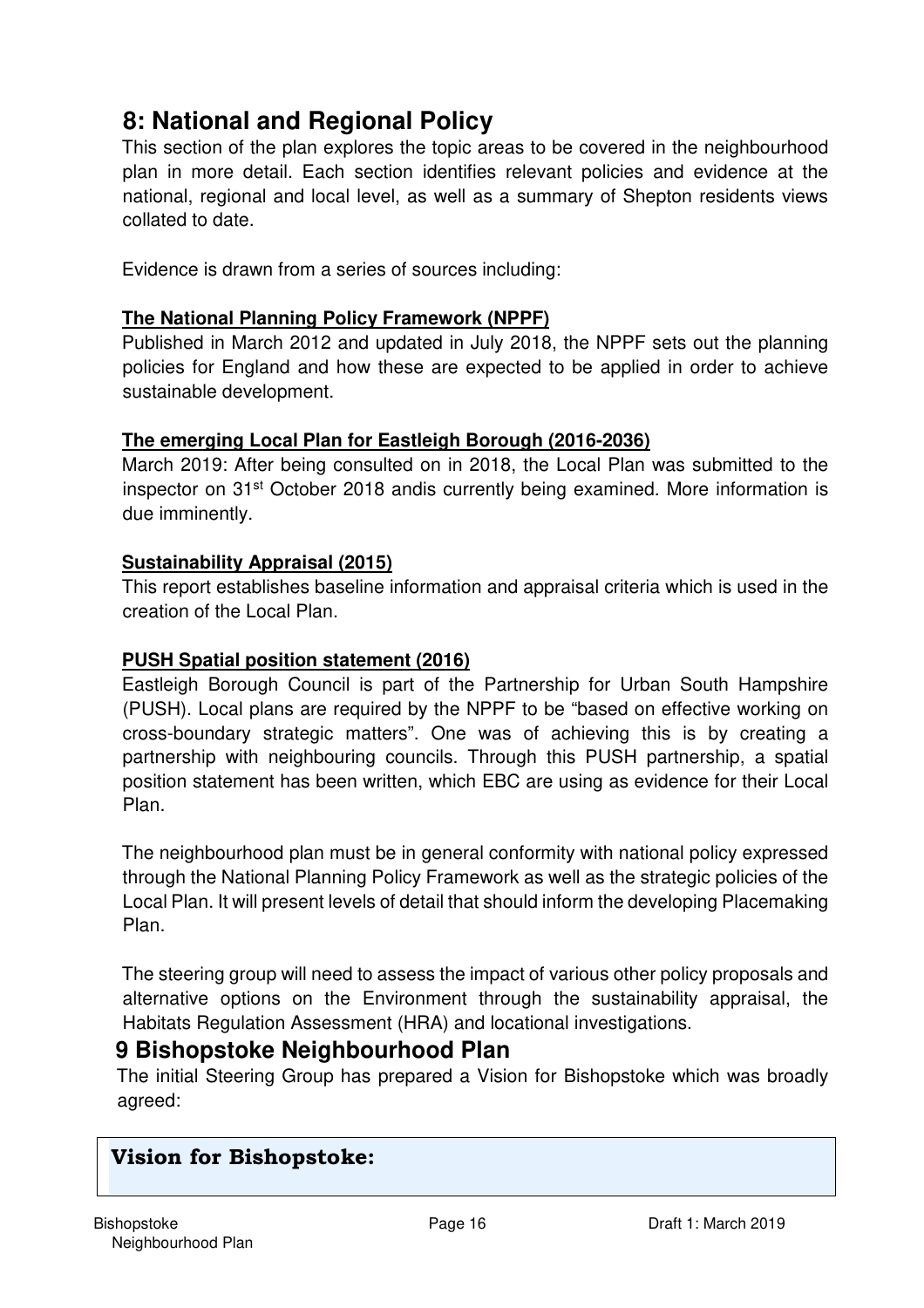## **8: National and Regional Policy**

This section of the plan explores the topic areas to be covered in the neighbourhood plan in more detail. Each section identifies relevant policies and evidence at the national, regional and local level, as well as a summary of Shepton residents views collated to date.

Evidence is drawn from a series of sources including:

## **The National Planning Policy Framework (NPPF)**

Published in March 2012 and updated in July 2018, the NPPF sets out the planning policies for England and how these are expected to be applied in order to achieve sustainable development.

## **The emerging Local Plan for Eastleigh Borough (2016-2036)**

March 2019: After being consulted on in 2018, the Local Plan was submitted to the inspector on 31<sup>st</sup> October 2018 andis currently being examined. More information is due imminently.

## **Sustainability Appraisal (2015)**

This report establishes baseline information and appraisal criteria which is used in the creation of the Local Plan.

## **PUSH Spatial position statement (2016)**

Eastleigh Borough Council is part of the Partnership for Urban South Hampshire (PUSH). Local plans are required by the NPPF to be "based on effective working on cross-boundary strategic matters". One was of achieving this is by creating a partnership with neighbouring councils. Through this PUSH partnership, a spatial position statement has been written, which EBC are using as evidence for their Local Plan.

The neighbourhood plan must be in general conformity with national policy expressed through the National Planning Policy Framework as well as the strategic policies of the Local Plan. It will present levels of detail that should inform the developing Placemaking Plan.

The steering group will need to assess the impact of various other policy proposals and alternative options on the Environment through the sustainability appraisal, the Habitats Regulation Assessment (HRA) and locational investigations.

## **9 Bishopstoke Neighbourhood Plan**

The initial Steering Group has prepared a Vision for Bishopstoke which was broadly agreed:

## **Vision for Bishopstoke:**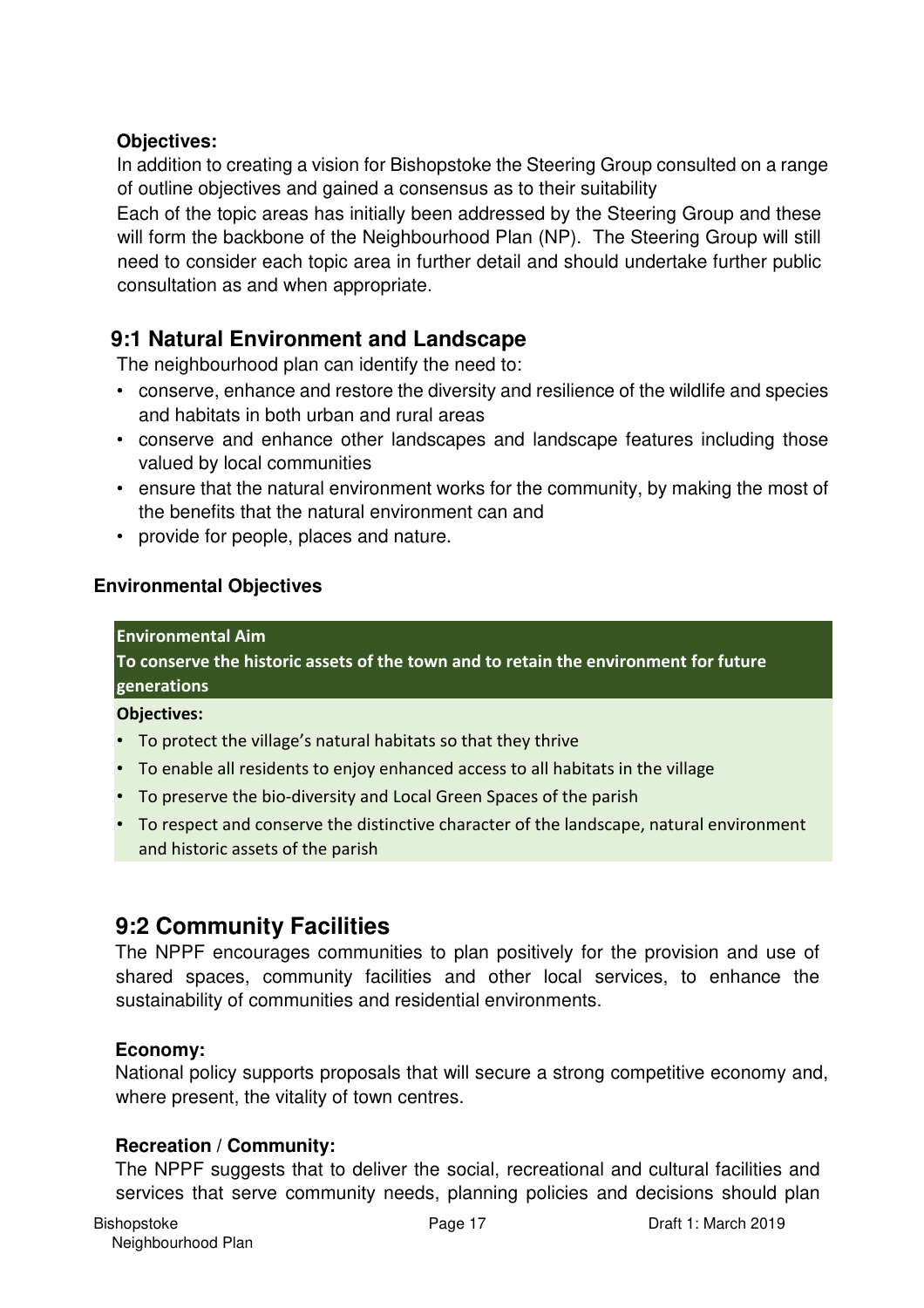## **Objectives:**

In addition to creating a vision for Bishopstoke the Steering Group consulted on a range of outline objectives and gained a consensus as to their suitability

Each of the topic areas has initially been addressed by the Steering Group and these will form the backbone of the Neighbourhood Plan (NP). The Steering Group will still need to consider each topic area in further detail and should undertake further public consultation as and when appropriate.

## **9:1 Natural Environment and Landscape**

The neighbourhood plan can identify the need to:

- conserve, enhance and restore the diversity and resilience of the wildlife and species and habitats in both urban and rural areas
- conserve and enhance other landscapes and landscape features including those valued by local communities
- ensure that the natural environment works for the community, by making the most of the benefits that the natural environment can and
- provide for people, places and nature.

## **Environmental Objectives**

#### **Environmental Aim**

**To conserve the historic assets of the town and to retain the environment for future generations** 

#### **Objectives:**

- To protect the village's natural habitats so that they thrive
- To enable all residents to enjoy enhanced access to all habitats in the village
- To preserve the bio-diversity and Local Green Spaces of the parish
- To respect and conserve the distinctive character of the landscape, natural environment and historic assets of the parish

## **9:2 Community Facilities**

The NPPF encourages communities to plan positively for the provision and use of shared spaces, community facilities and other local services, to enhance the sustainability of communities and residential environments.

## **Economy:**

National policy supports proposals that will secure a strong competitive economy and, where present, the vitality of town centres.

## **Recreation / Community:**

The NPPF suggests that to deliver the social, recreational and cultural facilities and services that serve community needs, planning policies and decisions should plan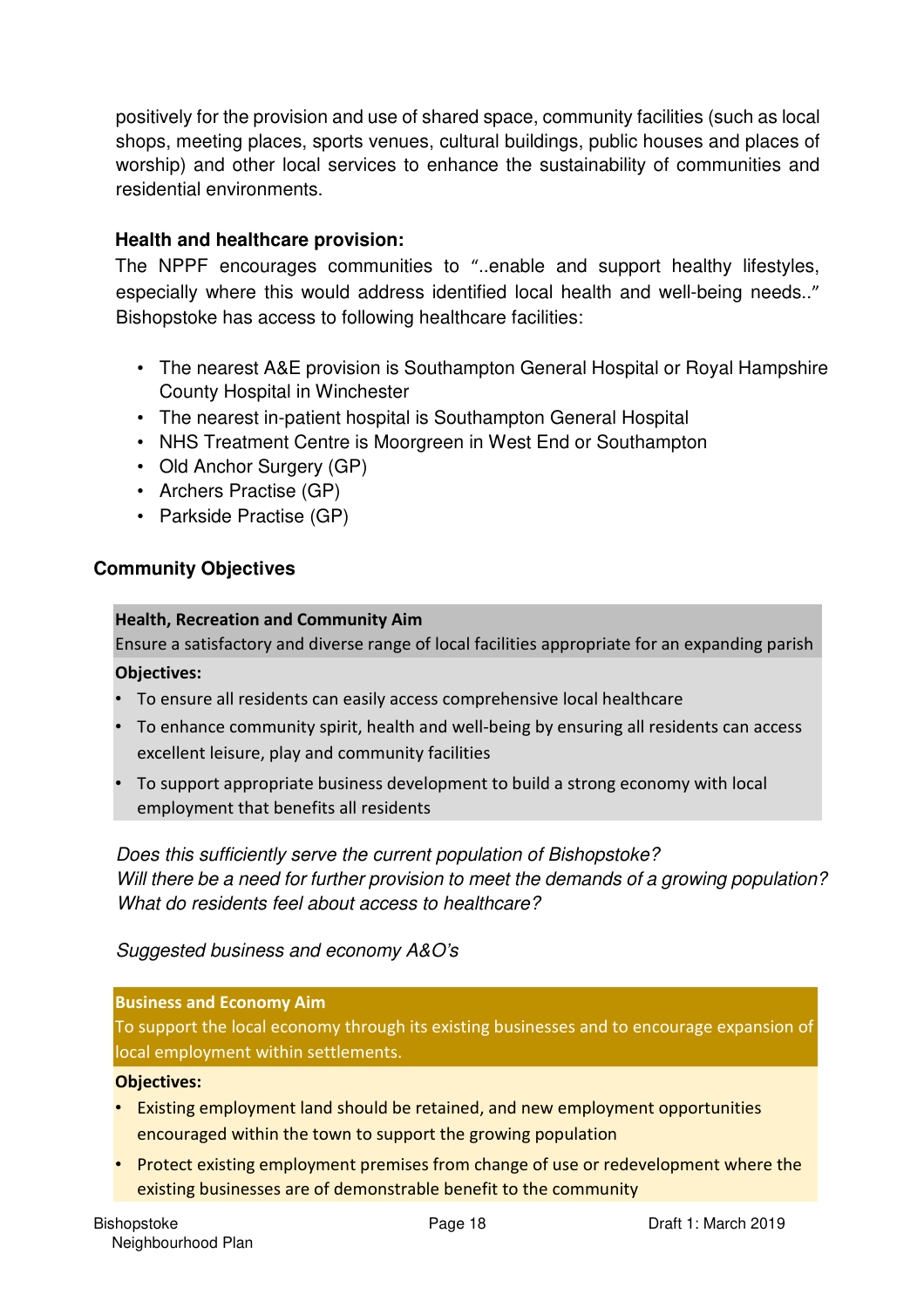positively for the provision and use of shared space, community facilities (such as local shops, meeting places, sports venues, cultural buildings, public houses and places of worship) and other local services to enhance the sustainability of communities and residential environments.

## **Health and healthcare provision:**

The NPPF encourages communities to "..enable and support healthy lifestyles, especially where this would address identified local health and well-being needs.." Bishopstoke has access to following healthcare facilities:

- The nearest A&E provision is Southampton General Hospital or Royal Hampshire County Hospital in Winchester
- The nearest in-patient hospital is Southampton General Hospital
- NHS Treatment Centre is Moorgreen in West End or Southampton
- Old Anchor Surgery (GP)
- Archers Practise (GP)
- Parkside Practise (GP)

#### **Community Objectives**

#### **Health, Recreation and Community Aim**

Ensure a satisfactory and diverse range of local facilities appropriate for an expanding parish

#### **Objectives:**

- To ensure all residents can easily access comprehensive local healthcare
- To enhance community spirit, health and well-being by ensuring all residents can access excellent leisure, play and community facilities
- To support appropriate business development to build a strong economy with local employment that benefits all residents

*Does this sufficiently serve the current population of Bishopstoke? Will there be a need for further provision to meet the demands of a growing population? What do residents feel about access to healthcare?* 

#### *Suggested business and economy A&O's*

#### **Business and Economy Aim**

To support the local economy through its existing businesses and to encourage expansion of local employment within settlements.

#### **Objectives:**

- Existing employment land should be retained, and new employment opportunities encouraged within the town to support the growing population
- Protect existing employment premises from change of use or redevelopment where the existing businesses are of demonstrable benefit to the community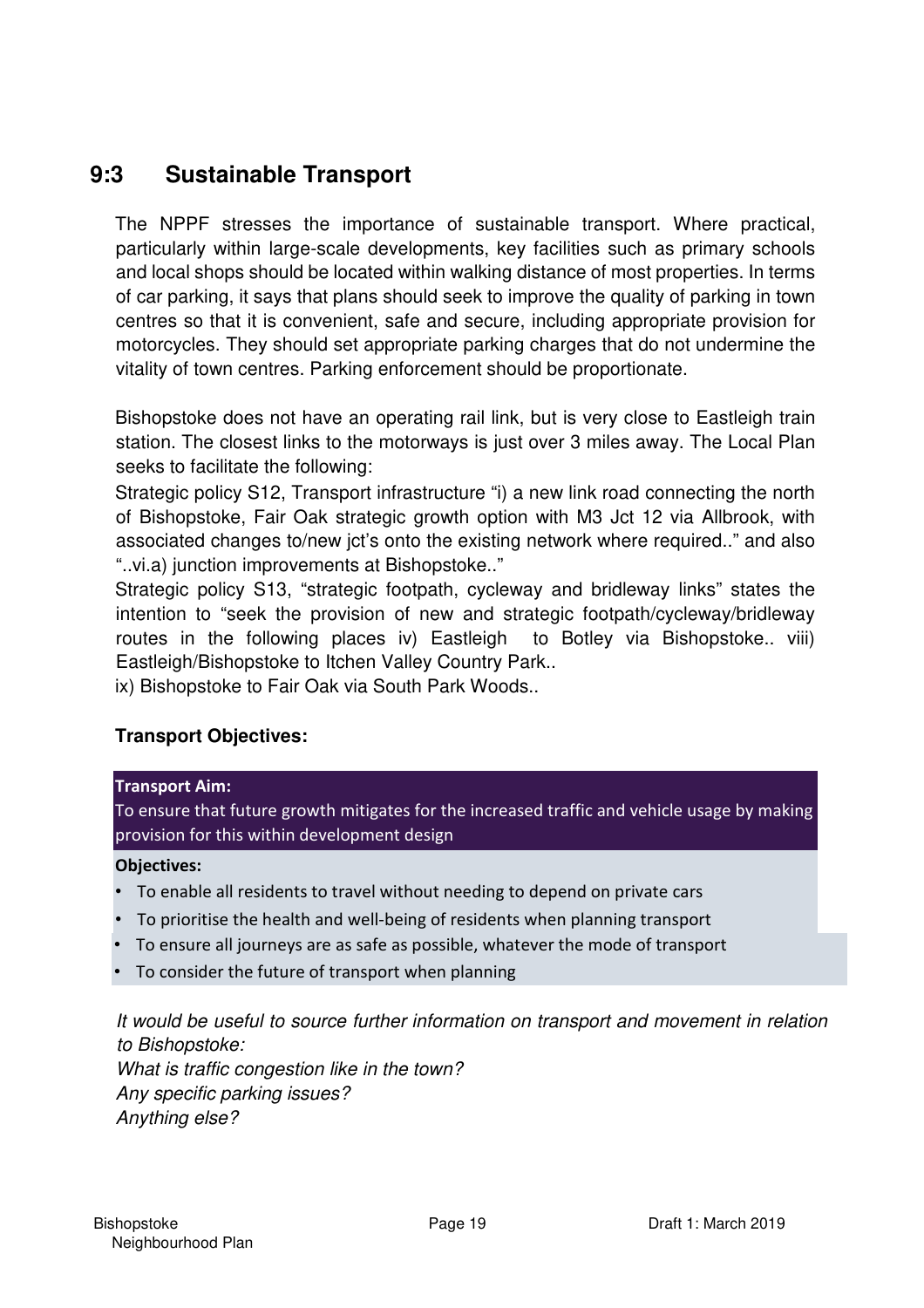## **9:3 Sustainable Transport**

The NPPF stresses the importance of sustainable transport. Where practical, particularly within large-scale developments, key facilities such as primary schools and local shops should be located within walking distance of most properties. In terms of car parking, it says that plans should seek to improve the quality of parking in town centres so that it is convenient, safe and secure, including appropriate provision for motorcycles. They should set appropriate parking charges that do not undermine the vitality of town centres. Parking enforcement should be proportionate.

Bishopstoke does not have an operating rail link, but is very close to Eastleigh train station. The closest links to the motorways is just over 3 miles away. The Local Plan seeks to facilitate the following:

Strategic policy S12, Transport infrastructure "i) a new link road connecting the north of Bishopstoke, Fair Oak strategic growth option with M3 Jct 12 via Allbrook, with associated changes to/new jct's onto the existing network where required.." and also "..vi.a) junction improvements at Bishopstoke.."

Strategic policy S13, "strategic footpath, cycleway and bridleway links" states the intention to "seek the provision of new and strategic footpath/cycleway/bridleway routes in the following places iv) Eastleigh to Botley via Bishopstoke.. viii) Eastleigh/Bishopstoke to Itchen Valley Country Park..

ix) Bishopstoke to Fair Oak via South Park Woods..

## **Transport Objectives:**

#### **Transport Aim:**

To ensure that future growth mitigates for the increased traffic and vehicle usage by making provision for this within development design

#### **Objectives:**

- To enable all residents to travel without needing to depend on private cars
- To prioritise the health and well-being of residents when planning transport
- To ensure all journeys are as safe as possible, whatever the mode of transport
- To consider the future of transport when planning

*It would be useful to source further information on transport and movement in relation to Bishopstoke:* 

*What is traffic congestion like in the town? Any specific parking issues? Anything else?*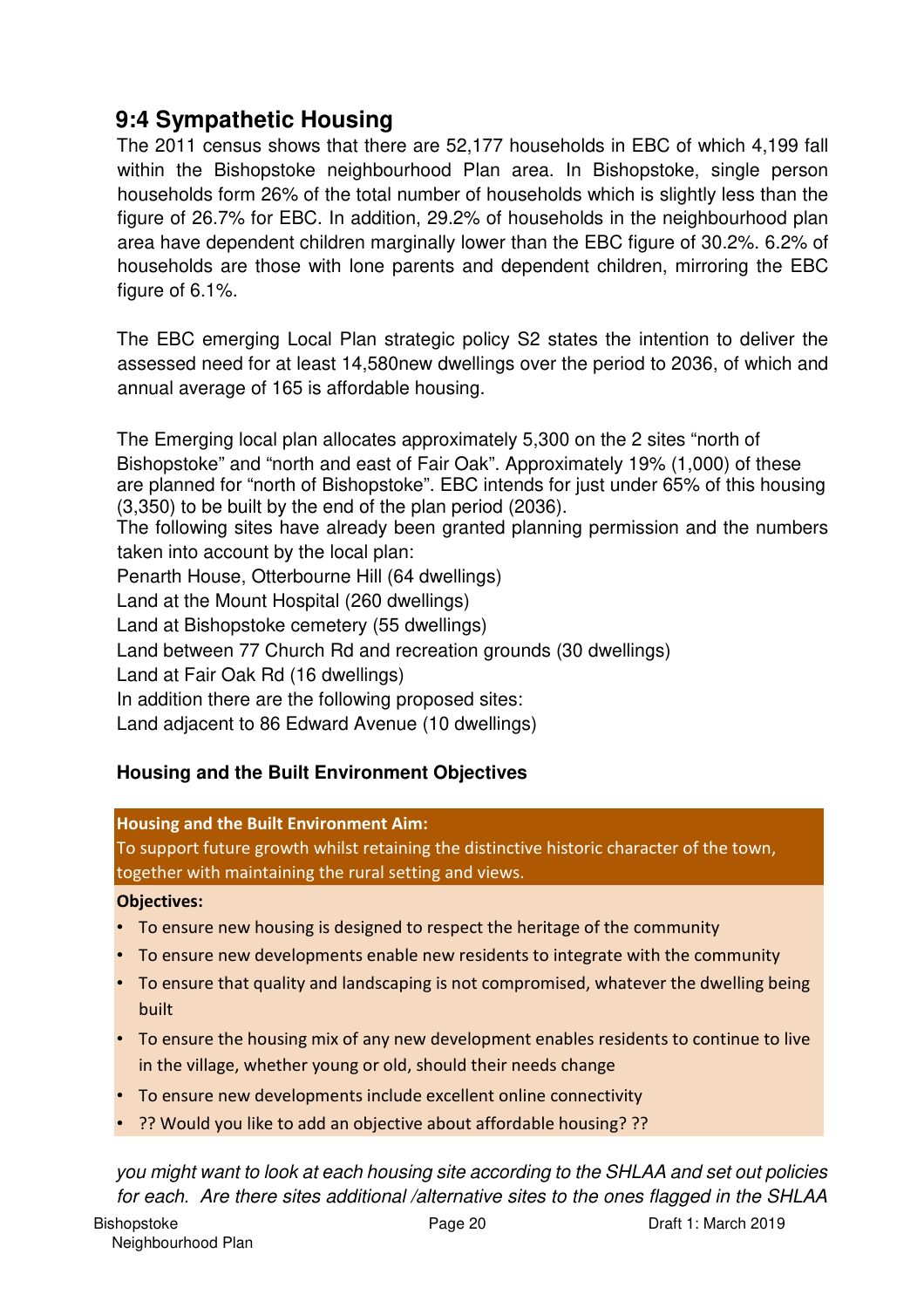## **9:4 Sympathetic Housing**

The 2011 census shows that there are 52,177 households in EBC of which 4,199 fall within the Bishopstoke neighbourhood Plan area. In Bishopstoke, single person households form 26% of the total number of households which is slightly less than the figure of 26.7% for EBC. In addition, 29.2% of households in the neighbourhood plan area have dependent children marginally lower than the EBC figure of 30.2%. 6.2% of households are those with lone parents and dependent children, mirroring the EBC figure of 6.1%.

The EBC emerging Local Plan strategic policy S2 states the intention to deliver the assessed need for at least 14,580new dwellings over the period to 2036, of which and annual average of 165 is affordable housing.

The Emerging local plan allocates approximately 5,300 on the 2 sites "north of Bishopstoke" and "north and east of Fair Oak". Approximately 19% (1,000) of these are planned for "north of Bishopstoke". EBC intends for just under 65% of this housing (3,350) to be built by the end of the plan period (2036). The following sites have already been granted planning permission and the numbers taken into account by the local plan: Penarth House, Otterbourne Hill (64 dwellings) Land at the Mount Hospital (260 dwellings) Land at Bishopstoke cemetery (55 dwellings) Land between 77 Church Rd and recreation grounds (30 dwellings) Land at Fair Oak Rd (16 dwellings) In addition there are the following proposed sites: Land adjacent to 86 Edward Avenue (10 dwellings)

## **Housing and the Built Environment Objectives**

#### **Housing and the Built Environment Aim:**

To support future growth whilst retaining the distinctive historic character of the town, together with maintaining the rural setting and views.

#### **Objectives:**

- To ensure new housing is designed to respect the heritage of the community
- To ensure new developments enable new residents to integrate with the community
- To ensure that quality and landscaping is not compromised, whatever the dwelling being built
- To ensure the housing mix of any new development enables residents to continue to live in the village, whether young or old, should their needs change
- To ensure new developments include excellent online connectivity
- ?? Would you like to add an objective about affordable housing? ??

*you might want to look at each housing site according to the SHLAA and set out policies for each. Are there sites additional /alternative sites to the ones flagged in the SHLAA*